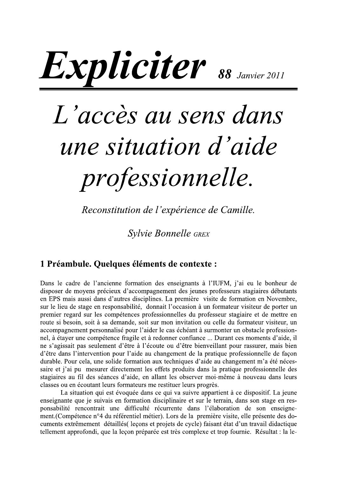# Expliciter 88 Janvier 2011

# L'accès au sens dans une situation d'aide professionnelle.

Reconstitution de l'expérience de Camille.

**Sylvie Bonnelle GREX** 

# 1 Préambule. Quelques éléments de contexte :

Dans le cadre de l'ancienne formation des enseignants à l'IUFM, j'ai eu le bonheur de disposer de movens précieux d'accompagnement des jeunes professeurs stagiaires débutants en EPS mais aussi dans d'autres disciplines. La première visite de formation en Novembre, sur le lieu de stage en responsabilité, donnait l'occasion à un formateur visiteur de porter un premier regard sur les compétences professionnelles du professeur stagiaire et de mettre en route si besoin, soit à sa demande, soit sur mon invitation ou celle du formateur visiteur, un accompagnement personnalisé pour l'aider le cas échéant à surmonter un obstacle professionnel, à étayer une compétence fragile et à redonner confiance ... Durant ces moments d'aide, il ne s'agissait pas seulement d'être à l'écoute ou d'être bienveillant pour rassurer, mais bien d'être dans l'intervention pour l'aide au changement de la pratique professionnelle de façon durable. Pour cela, une solide formation aux techniques d'aide au changement m'a été nécessaire et j'ai pu mesurer directement les effets produits dans la pratique professionnelle des stagiaires au fil des séances d'aide, en allant les observer moi-même à nouveau dans leurs classes ou en écoutant leurs formateurs me restituer leurs progrès.

La situation qui est évoquée dans ce qui va suivre appartient à ce dispositif. La jeune enseignante que je suivais en formation disciplinaire et sur le terrain, dans son stage en responsabilité rencontrait une difficulté récurrente dans l'élaboration de son enseignement. (Compétence n°4 du référentiel métier). Lors de la première visite, elle présente des documents extrêmement détaillés (leçons et projets de cycle) faisant état d'un travail didactique tellement approfondi, que la leçon préparée est très complexe et trop fournie. Résultat : la le-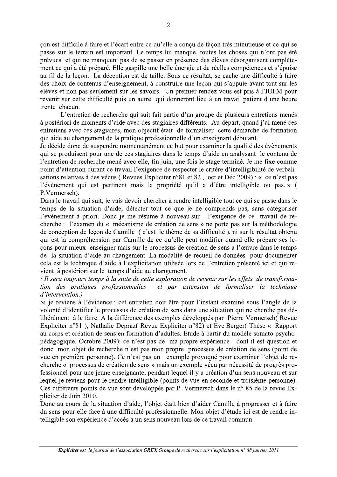con est difficile à faire et l'écart entre ce qu'elle a conçu de façon très minutieuse et ce qui se passe sur le terrain est important. Le temps lui manque, toutes les choses qui n'ont pas été prévues et qui ne manquent pas de se passer en présence des élèves désorganisent complètement ce qui a été préparé. Elle gaspille une belle énergie et de réelles compétences et s'épuise au fil de la leçon. La déception est de taille. Sous ce résultat, se cache une difficulté à faire des choix de contenus d'enseignement, à construire une leçon qui s'appuie avant tout sur les élèves et non pas seulement sur les savoirs. Un premier rendez vous est pris à l'IUFM pour revenir sur cette difficulté puis un autre qui donneront lieu à un travail patient d'une heure trente chacun.

L'entretien de recherche qui suit fait partie d'un groupe de plusieurs entretiens menés à postériori de moments d'aide avec des stagiaires différents. Au départ, quand j'ai mené ces entretiens avec ces stagiaires, mon objectif était de formaliser cette démarche de formation qui aide au changement de la pratique professionnelle d'un enseignant débutant.

Je décide donc de suspendre momentanément ce but pour examiner la qualité des évènements qui se produisent pour une de ces stagiaires dans le temps d'aide en analysant le contenu de l'entretien de recherche mené avec elle, fin juin, une fois le stage terminé. Je me fixe comme point d'attention durant ce travail l'exigence de respecter le critère d'intelligibilité de verbalisations relatives à des vécus (Revues Expliciter n°81 et 82, oct et Déc 2009) : « ce n'est pas l'évènement qui est pertinent mais la propriété qu'il a d'être intelligible ou pas. » ( P.Vermersch).

Dans le travail qui suit, je vais devoir chercher à rendre intelligible tout ce qui se passe dans le temps de la situation d'aide, détecter tout ce que je ne comprends pas, sans catégoriser l'évènement à priori. Donc je me résume à nouveau sur l'exigence de ce travail de recherche : l'examen du « mécanisme de création de sens » ne porte pas sur la méthodologie de conception de leçon de Camille (c'est le thème de sa difficulté), ni sur le résultat obtenu qui est la compréhension par Camille de ce qu'elle peut modifier quand elle prépare ses lecons pour mieux enseigner mais sur le processus de création de sens à l'œuvre dans le temps de la situation d'aide au changement. La modalité de recueil de données pour documenter cela est la technique d'aide à l'explicitation utilisée lors de l'entretien présenté ici et qui revient à postériori sur le temps d'aide au changement.

(Il sera toujours temps à la suite de cette exploration de revenir sur les effets de transformaet par extension de formaliser la technique tion des pratiques professionnelles d'intervention.)

Si je reviens à l'évidence : cet entretien doit être pour l'instant examiné sous l'angle de la volonté d'identifier le processus de création de sens dans une situation qui ne cherche pas délibérément à le faire. A la différence des exemples développés par Pierre Vermersch(Revue Expliciter n°81), Nathalie Depraz(Revue Expliciter n°82) et Eve Berger(Thèse « Rapport au corps et création de sens en formation d'adultes. Etude à partir du modèle somato-psychopédagogique. Octobre 2009): ce n'est pas de ma propre expérience dont il est question et donc mon objet de recherche n'est pas mon propre processus de création de sens (point de vue en première personne). Ce n'est pas un exemple provoqué pour examiner l'objet de recherche « processus de création de sens » mais un exemple vécu par nécessité de progrès professionnel pour une jeune enseignante, pendant lequel il y a création d'un sens nouveau et sur lequel je reviens pour le rendre intelligible (points de vue en seconde et troisième personne). Ces différents points de vue sont développés par P. Vermersch dans le n° 85 de la revue Expliciter de Juin 2010.

Donc au cours de la situation d'aide, l'objet était bien d'aider Camille à progresser et à faire du sens pour elle face à une difficulté professionnelle. Mon objet d'étude ici est de rendre intelligible son expérience d'accès à un sens nouveau lors de ce travail commun.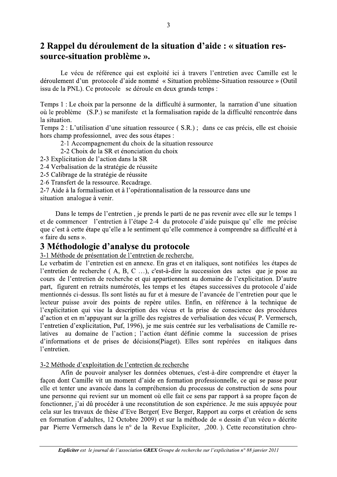# 2 Rappel du déroulement de la situation d'aide : « situation ressource-situation problème ».

Le vécu de référence qui est exploité ici à travers l'entretien avec Camille est le déroulement d'un protocole d'aide nommé « Situation problème-Situation ressource » (Outil issu de la PNL). Ce protocole se déroule en deux grands temps :

Temps 1 : Le choix par la personne de la difficulté à surmonter, la narration d'une situation où le problème (S.P.) se manifeste et la formalisation rapide de la difficulté rencontrée dans la situation.

Temps 2 : L'utilisation d'une situation ressource (S.R.); dans ce cas précis, elle est choisie hors champ professionnel, avec des sous étapes :

2-1 Accompagnement du choix de la situation ressource

2-2 Choix de la SR et énonciation du choix

2-3 Explicitation de l'action dans la SR

2-4 Verbalisation de la stratégie de réussite

2-5 Calibrage de la stratégie de réussite

2-6 Transfert de la ressource. Recadrage.

2-7 Aide à la formalisation et à l'opérationnalisation de la ressource dans une situation analogue à venir.

Dans le temps de l'entretien, je prends le parti de ne pas revenir avec elle sur le temps 1 et de commencer l'entretien à l'étape 2-4 du protocole d'aide puisque qu'elle me précise que c'est à cette étape qu'elle a le sentiment qu'elle commence à comprendre sa difficulté et à « faire du sens ».

### 3 Méthodologie d'analyse du protocole

3-1 Méthode de présentation de l'entretien de recherche.

Le verbatim de l'entretien est en annexe. En gras et en italiques, sont notifiées les étapes de l'entretien de recherche (A, B, C ...), c'est-à-dire la succession des actes que je pose au cours de l'entretien de recherche et qui appartiennent au domaine de l'explicitation. D'autre part, figurent en retraits numérotés, les temps et les étapes successives du protocole d'aide mentionnés ci-dessus. Ils sont listés au fur et à mesure de l'avancée de l'entretien pour que le lecteur puisse avoir des points de repère utiles. Enfin, en référence à la technique de l'explicitation qui vise la description des vécus et la prise de conscience des procédures d'action et en m'appuyant sur la grille des registres de verbalisation des vécus(P. Vermersch, l'entretien d'explicitation, Puf, 1996), je me suis centrée sur les verbalisations de Camille reau domaine de l'action : l'action étant définie comme la succession de prises latives d'informations et de prises de décisions (Piaget). Elles sont repérées en italiques dans l'entretien.

#### 3-2 Méthode d'exploitation de l'entretien de recherche

Afin de pouvoir analyser les données obtenues, c'est-à-dire comprendre et étayer la façon dont Camille vit un moment d'aide en formation professionnelle, ce qui se passe pour elle et tenter une avancée dans la compréhension du processus de construction de sens pour une personne qui revient sur un moment où elle fait ce sens par rapport à sa propre façon de fonctionner, j'ai dû procéder à une reconstitution de son expérience. Je me suis appuyée pour cela sur les travaux de thèse d'Eve Berger (Eve Berger, Rapport au corps et création de sens en formation d'adultes, 12 Octobre 2009) et sur la méthode de « dessin d'un vécu » décrite par Pierre Vermersch dans le n° de la Revue Expliciter, 200. ). Cette reconstitution chro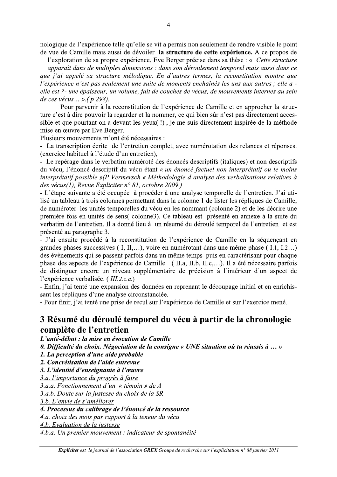nologique de l'expérience telle qu'elle se vit a permis non seulement de rendre visible le point de vue de Camille mais aussi de dévoiler la structure de cette expérience. A ce propos de

l'exploration de sa propre expérience. Eve Berger précise dans sa thèse : « Cette structure apparaît dans de multiples dimensions : dans son déroulement temporel mais aussi dans ce que j'ai appelé sa structure mélodique. En d'autres termes, la reconstitution montre que l'expérience n'est pas seulement une suite de moments enchaînés les uns aux autres ; elle a -

elle est ?- une épaisseur, un volume, fait de couches de vécus, de mouvements internes au sein de ces vécus... ». (p 298).

Pour parvenir à la reconstitution de l'expérience de Camille et en approcher la structure c'est à dire pouvoir la regarder et la nommer, ce qui bien sûr n'est pas directement accessible et que pourtant on a devant les yeux (!), je me suis directement inspirée de la méthode mise en œuvre par Eve Berger.

Plusieurs mouvements m'ont été nécessaires :

- La transcription écrite de l'entretien complet, avec numérotation des relances et réponses. (exercice habituel à l'étude d'un entretien),

- Le repérage dans le verbatim numéroté des énoncés descriptifs (italiques) et non descriptifs du vécu, l'énoncé descriptif du vécu étant « un énoncé factuel non interprétatif ou le moins interprétatif possible »(P Vermersch « Méthodologie d'analyse des verbalisations relatives à des vécus(1), Revue Expliciter n° 81, octobre 2009.)

- L'étape suivante a été occupée à procéder à une analyse temporelle de l'entretien. J'ai utilisé un tableau à trois colonnes permettant dans la colonne 1 de lister les répliques de Camille, de numéroter les unités temporelles du vécu en les nommant (colonne 2) et de les décrire une première fois en unités de sens (colonne3). Ce tableau est présenté en annexe à la suite du verbatim de l'entretien. Il a donné lieu à un résumé du déroulé temporel de l'entretien et est présenté au paragraphe 3.

- J'ai ensuite procédé à la reconstitution de l'expérience de Camille en la séquençant en grandes phases successives (I, II,...), voire en numérotant dans une même phase (I, 1, I, 2,...) des évènements qui se passent parfois dans un même temps puis en caractérisant pour chaque phase des aspects de l'expérience de Camille (II.a, II.b, II.c,...). Il a été nécessaire parfois de distinguer encore un niveau supplémentaire de précision à l'intérieur d'un aspect de l'expérience verbalisée. (III.2.c.a.)

- Enfin, j'ai tenté une expansion des données en reprenant le découpage initial et en enrichissant les répliques d'une analyse circonstanciée.

- Pour finir, j'ai tenté une prise de recul sur l'expérience de Camille et sur l'exercice mené.

# 3 Résumé du déroulé temporel du vécu à partir de la chronologie complète de l'entretien

L'anté-début : la mise en évocation de Camille

0. Difficulté du choix. Négociation de la consigne « UNE situation où tu réussis à ... »

1. La perception d'une aide probable

2. Concrétisation de l'aide entrevue

3. L'identité d'enseignante à l'œuvre

3.a. l'importance du progrès à faire

3.a.a. Fonctionnement d'un « témoin » de A

3.a.b. Doute sur la justesse du choix de la SR

3.b. L'envie de s'améliorer

4. Processus du calibrage de l'énoncé de la ressource

4.a. choix des mots par rapport à la teneur du vécu

4.b. Evaluation de la justesse

4.b.a. Un premier mouvement : indicateur de spontanéité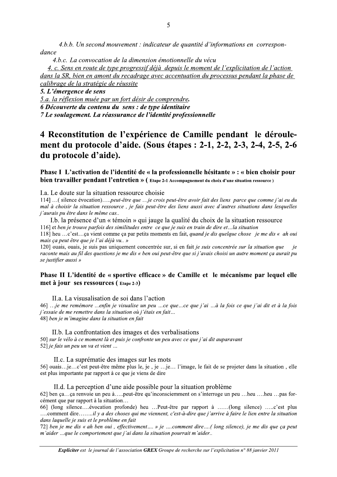4.b.b. Un second mouvement : indicateur de quantité d'informations en correspondance

4.b.c. La convocation de la dimension émotionnelle du vécu

4. c. Sens en route de type progressif déjà depuis le moment de l'explicitation de l'action dans la SR, bien en amont du recadrage avec accentuation du processus pendant la phase de calibrage de la stratégie de réussite

5. L'émergence de sens

5.a. la réflexion muée par un fort désir de comprendre.

6 Découverte du contenu du sens : de type identitaire

7 Le soulagement. La réassurance de l'identité professionnelle

# 4 Reconstitution de l'expérience de Camille pendant le déroulement du protocole d'aide. (Sous étapes : 2-1, 2-2, 2-3, 2-4, 2-5, 2-6 du protocole d'aide).

Phase I L'activation de l'identité de « la professionnelle hésitante » : « bien choisir pour bien travailler pendant l'entretien » (Etape 2-1 Accompagnement du choix d'une situation ressource)

I.a. Le doute sur la situation ressource choisie

114] ...( silence évocation).....peut-être que ...je crois peut-être avoir fait des liens parce que comme j'ai eu du mal à choisir la situation ressource, je fais peut-être des liens aussi avec d'autres situations dans lesquelles j'aurais pu être dans le même cas..

I.b. la présence d'un « témoin » qui jauge la qualité du choix de la situation ressource 116] et ben je trouve parfois des similitudes entre ce que je suis en train de dire et...la situation

118] heu ...c'est...ça vient comme ça par petits moments en fait, quand je dis quelque chose je me dis « ah oui mais ca peut être que je l'ai déjà vu.. »

120] ouais, ouais, je suis pas uniquement concentrée sur, si en fait je suis concentrée sur la situation que  $i\rho$ raconte mais au fil des questions je me dis « ben oui peut-être que si j'avais choisi un autre moment ca aurait pu se justifier aussi »

#### Phase II L'identité de « sportive efficace » de Camille et le mécanisme par lequel elle met à jour ses ressources (Etape 2-3)

II.a. La visusalisation de soi dans l'action

46] ...je me remémore ...enfin je visualise un peu ...ce que...ce que j'ai ...à la fois ce que j'ai dit et à la fois j'essaie de me remettre dans la situation où j'étais en fait... 48] ben je m'imagine dans la situation en fait

II.b. La confrontation des images et des verbalisations 50] sur le vélo à ce moment là et puis je confronte un peu avec ce que j'ai dit auparavant 52] je fais un peu un va et vient ...

II.c. La suprématie des images sur les mots

56] ouais...je...c'est peut-être même plus le, je , je ...je... l'image, le fait de se projeter dans la situation, elle est plus importante par rapport à ce que je viens de dire

II.d. La perception d'une aide possible pour la situation problème

62] ben ca...ca renvoie un peu à.....peut-être qu'inconsciemment on s'interroge un peu ...heu ....heu ...pas forcément que par rapport à la situation...

66] (long silence....évocation profonde) heu ...Peut-être par rapport à ......(long silence) .....c'est plus ....comment dire.......il y a des choses qui me viennent, c'est-à-dire que j'arrive à faire le lien entre la situation dans laquelle je suis et le problème en fait

72] ben je me dis « ah ben oui, effectivement.... » je ....comment dire....(long silence), je me dis que ça peut m'aider ...que le comportement que j'ai dans la situation pourrait m'aider..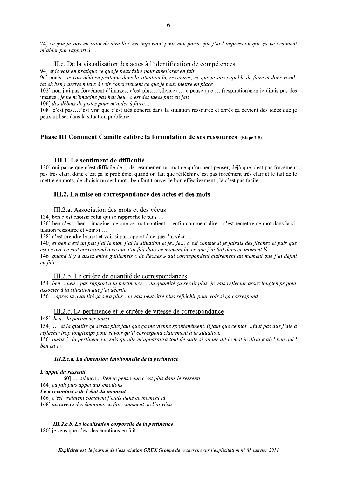74] ce que je suis en train de dire là c'est important pour moi parce que j'ai l'impression que ça va vraiment m'aider par rapport à ...

#### II.e. De la visualisation des actes à l'identification de compétences

94] et je vois en pratique ce que je peux faire pour améliorer en fait

96] ouais...je vois déjà en pratique dans la situation là, ressource, ce que je suis capable de faire et donc résultat eh ben j'arrive mieux à voir concrètement ce que je peux mettre en place

102] non j'ai pas forcément d'images, c'est plus...(silence) ... je pense que ....(respiration) non je dirais pas des images, *ie ne m'imagine pas heu heu, c'est des idées plus en fait* 

 $106$ ] des débuts de pistes pour m'aider à faire...

108] c'est pas...c'est vrai que c'est très concret dans la situation ressource et après ca devient des idées que je peux utiliser dans la situation problème

#### Phase III Comment Camille calibre la formulation de ses ressources  $(E_{\text{tane 2-5}})$

#### III.1. Le sentiment de difficulté

130] oui parce que c'est difficile de ...de résumer en un mot ce qu'on peut penser, déjà que c'est pas forcément pas très clair, donc c'est ça le problème, quand on fait que réfléchir c'est pas forcément très clair et le fait de le mettre en mots, de choisir un seul mot, ben faut trouver le bon effectivement, là c'est pas facile..

#### **HI.2.** La mise en correspondance des actes et des mots

#### $\overline{\phantom{a}}$ III.2.a. Association des mots et des vécus

134] ben c'est choisir celui qui se rapproche le plus ...

136] ben c'est ..heu...imaginer ce que ce mot contient ...enfin comment dire...c'est remettre ce mot dans la situation ressource et voir si...

138] c'est prendre le mot et voir si par rapport à ce que j'ai vécu...

140] et ben c'est un peu j'ai le mot, j'ai la situation et je.. je... c'est comme si je faisais des flèches et puis que est ce que ce mot correspond à ce que j'ai fait dans ce moment là, ce que j'ai fait dans ce moment là...

146] quand il y a assez entre guillemets « de flèches » qui correspondent clairement au moment que j'ai défini en fait..

#### III.2.b. Le critère de quantité de correspondances

154] ben ...heu...par rapport à la pertinence, ...la quantité ca serait plus je vais réfléchir assez longtemps pour associer à la situation que j'ai décrite

156]... après la quantité ca sera plus ... je vais peut-être plus réfléchir pour voir si ca correspond

#### III.2.c. La pertinence et le critère de vitesse de correspondance

148] ben...la pertinence aussi

154] ... et la qualité ca serait plus faut que ca me vienne spontanément, il faut que ce mot ...faut pas que j'aie à réfléchir trop longtemps pour savoir qu'il correspond clairement à la situation..

156] ouais *l...* la pertinence je sais qu'elle m'apparaitra tout de suite si on me dit le mot je dirai « ah! ben oui! ben ca ! »

#### III.2.c.a. La dimension emotionnelle de la pertinence

#### L'apput du ressenti

 $160$ ] .....silence....Ben je pense que c'est plus dans le ressenti 164] ca fait plus appel aux émotions

Le « recontact » de l'etat du moment

166] c'est vraiment comment j'étais dans ce moment là

168] au niveau des émotions en fait, comment je l'ai vécu

III.2.c.b. La localisation corporelle de la pertinence

180] je sens que c'est des émotions en fait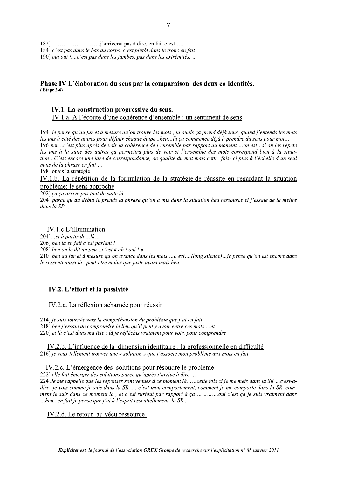184] c'est pas dans le bas du corps, c'est plutôt dans le tronc en fait

190] oui oui *!....c'est pas dans les jambes, pas dans les extrémités*, ...

#### Phase IV L'élaboration du sens par la comparaison des deux co-identités.  $(Etape 2-6)$

#### IV.1. La construction progressive du sens.

IV.1.a. A l'écoute d'une cohérence d'ensemble : un sentiment de sens

194] je pense qu'au fur et à mesure qu'on trouve les mots, là ouais ça prend déjà sens, quand j'entends les mots les uns à côté des autres pour définir chaque étape ..heu...là ça commence déjà à prendre du sens pour moi... 196]ben ..c'est plus après de voir la cohérence de l'ensemble par rapport au moment ...on est...si on les répète les uns à la suite des autres ça permettra plus de voir si l'ensemble des mots correspond bien à la situation...C'est encore une idée de correspondance, de qualité du mot mais cette fois- ci plus à l'échelle d'un seul mais de la phrase en fait ...

198] ouais la stratégie

#### IV.1.b. La répétition de la formulation de la stratégie de réussite en regardant la situation problème: le sens approche

202] ça ça arrive pas tout de suite là..

204] parce qu'au début je prends la phrase qu'on a mis dans la situation heu ressource et j'essaie de la mettre dans la SP...

#### IV.1.c L'illumination

204]...et à partir de ... $l\hat{a}$ ...

206] ben là en fait c'est parlant !

208] ben on le dit un peu...c'est « ah ! oui ! »

210] ben au fur et à mesure qu'on avance dans les mots ...c'est....(long silence)...je pense qu'on est encore dans le ressenti aussi là, peut-être moins que juste avant mais heu..

#### IV.2. L'effort et la passivité

#### IV.2.a. La réflexion acharnée pour réussir

214] je suis tournée vers la compréhension du problème que j'ai en fait 218] ben j'essaie de comprendre le lien qu'il peut y avoir entre ces mots ...et.. 220] et là c'est dans ma tête ; là je réfléchis vraiment pour voir, pour comprendre

IV.2.b. L'influence de la dimension identitaire : la professionnelle en difficulté 216] je veux tellement trouver une « solution » que j'associe mon problème aux mots en fait

#### IV.2.c. L'émergence des solutions pour résoudre le problème

222] elle fait émerger des solutions parce qu'après j'arrive à dire ...

224] Je me rappelle que les réponses sont venues à ce moment là ... ... cette fois ci je me mets dans la SR ... c'est-àdire je vois comme je suis dans la SR,.... c'est mon comportement, comment je me comporte dans la SR, comment je suis dans ce moment là, et c'est surtout par rapport à ca ..............oui c'est ca je suis vraiment dans ...heu.. en fait je pense que j'ai à l'esprit essentiellement la SR..

IV.2.d. Le retour au vécu ressource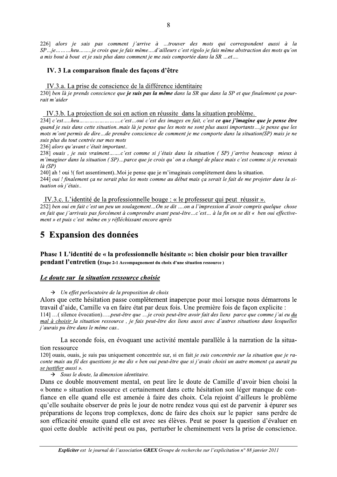226] alors je sais pas comment j'arrive à ...trouver des mots qui correspondent aussi à la SP...je........heu.......je crois que je fais même....d'ailleurs c'est rigolo je fais même abstraction des mots qu'on a mis bout à bout et je suis plus dans comment je me suis comportée dans la SR ...et....

#### IV. 3 La comparaison finale des façons d'être

#### IV.3.a. La prise de conscience de la différence identitaire

230] ben là je prends conscience que je suis pas la même dans la SR que dans la SP et que finalement ça pourrait m'aider

IV.3.b. La projection de soi en action en réussite dans la situation problème.

quand je suis dans cette situation. mais là je pense que les mots ne sont plus aussi importants... je pense que les mots m'ont permis de dire...de prendre conscience de comment je me comporte dans la situation(SP) mais je ne suis plus du tout centrée sur mes mots

236] alors qu'avant c'était important..

238] ouais, je suis vraiment.......c'est comme si j'étais dans la situation (SP) j'arrive beaucoup mieux à m'imaginer dans la situation (SP)...parce que je crois qu'on a changé de place mais c'est comme si je revenais  $l\hat{a}$  (SP)

240] ah ! oui !(fort assentiment)..Moi je pense que je m'imaginais complètement dans la situation. 244] oui ! finalement ca ne serait plus les mots comme au début mais ca serait le fait de me projeter dans la situation où j'étais..

IV.3.c. L'identité de la professionnelle bouge : « le professeur qui peut réussir ».

252] ben oui en fait c'est un peu un soulagement...On se dit ....on a l'impression d'avoir compris quelque chose en fait que j'arrivais pas forcément à comprendre avant peut-être...c'est... à la fin on se dit « ben oui effectivement » et puis c'est même en y réfléchissant encore après

# **5 Expansion des données**

#### Phase 1 L'identité de « la professionnelle hésitante »: bien choisir pour bien travailler pendant l'entretien (Etape 2-1 Accompagnement du choix d'une situation ressource)

#### Le doute sur la situation ressource choisie

#### $\rightarrow$  Un effet perlocutoire de la proposition de choix

Alors que cette hésitation passe complètement inaperçue pour moi lorsque nous démarrons le travail d'aide, Camille va en faire état par deux fois. Une première fois de façon explicite : 114] ...( silence évocation).....peut-être que ...je crois peut-être avoir fait des liens parce que comme j'ai eu du mal à choisir la situation ressource, je fais peut-être des liens aussi avec d'autres situations dans lesquelles j'aurais pu être dans le même cas..

La seconde fois, en évoquant une activité mentale parallèle à la narration de la situation ressource

120] ouais, ouais, je suis pas uniquement concentrée sur, si en fait je suis concentrée sur la situation que je raconte mais au fil des questions je me dis « ben oui peut-être que si j'avais choisi un autre moment ça aurait pu se justifier aussi ».

#### $\rightarrow$  Sous le doute, la dimension identitaire.

Dans ce double mouvement mental, on peut lire le doute de Camille d'avoir bien choisi la « bonne » situation ressource et certainement dans cette hésitation son léger manque de confiance en elle quand elle est amenée à faire des choix. Cela rejoint d'ailleurs le problème qu'elle souhaite observer de près le jour de notre rendez vous qui est de parvenir à épurer ses préparations de lecons trop complexes, donc de faire des choix sur le papier sans perdre de son efficacité ensuite quand elle est avec ses élèves. Peut se poser la question d'évaluer en quoi cette double activité peut ou pas, perturber le cheminement vers la prise de conscience.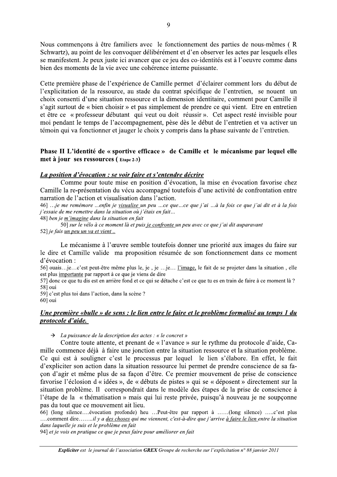Nous commençons à être familiers avec le fonctionnement des parties de nous-mêmes (R Schwartz), au point de les convoquer délibérément et d'en observer les actes par lesquels elles se manifestent. Je peux juste ici avancer que ce jeu des co-identités est à l'oeuvre comme dans bien des moments de la vie avec une cohérence interne puissante.

Cette première phase de l'expérience de Camille permet d'éclairer comment lors du début de l'explicitation de la ressource, au stade du contrat spécifique de l'entretien, se nouent un choix consenti d'une situation ressource et la dimension identitaire, comment pour Camille il s'agit surtout de « bien choisir » et pas simplement de prendre ce qui vient. Etre en entretien et être ce « professeur débutant qui veut ou doit réussir ». Cet aspect resté invisible pour moi pendant le temps de l'accompagnement, pèse dès le début de l'entretien et va activer un témoin qui va fonctionner et jauger le choix y compris dans la phase suivante de l'entretien.

#### Phase II L'identité de « sportive efficace » de Camille et le mécanisme par lequel elle met à jour ses ressources (Etape 2-3)

#### La position d'évocation : se voir faire et s'entendre décrire

Comme pour toute mise en position d'évocation, la mise en évocation favorise chez Camille la re-présentation du vécu accompagné toutefois d'une activité de confrontation entre narration de l'action et visualisation dans l'action.

46] ...je me remémore ...enfin je visualise un peu ...ce que ...ce que j'ai ...à la fois ce que j'ai dit et à la fois j'essaie de me remettre dans la situation où j'étais en fait... 48] ben je m'imagine dans la situation en fait

50] sur le vélo à ce moment là et puis je confronte un peu avec ce que j'ai dit auparavant 52] je fais <u>un peu un va et vie</u>nt ..

Le mécanisme à l'œuvre semble toutefois donner une priorité aux images du faire sur le dire et Camille valide ma proposition résumée de son fonctionnement dans ce moment d'évocation :

56] ouais...je...c'est peut-être même plus le, je, je ...je... l'image, le fait de se projeter dans la situation, elle est plus importante par rapport à ce que je viens de dire

57] donc ce que tu dis est en arrière fond et ce qui se détache c'est ce que tu es en train de faire à ce moment là ? 58] oui

59] c'est plus toi dans l'action, dans la scène ?

60] oui

#### Une première «bulle » de sens : le lien entre le faire et le problème formalisé au temps 1 du *protocole d'aide.*

 $\rightarrow$  La puissance de la description des actes : « le concret »

Contre toute attente, et prenant de « l'avance » sur le rythme du protocole d'aide, Camille commence déjà à faire une jonction entre la situation ressource et la situation problème. Ce qui est à souligner c'est le processus par lequel le lien s'élabore. En effet, le fait d'expliciter son action dans la situation ressource lui permet de prendre conscience de sa facon d'agir et même plus de sa façon d'être. Ce premier mouvement de prise de conscience favorise l'éclosion d'« idées », de « débuts de pistes » qui se « déposent » directement sur la situation problème. Il correspondrait dans le modèle des étapes de la prise de conscience à l'étape de la « thématisation » mais qui lui reste privée, puisqu'à nouveau je ne soupçonne pas du tout que ce mouvement ait lieu.

66] (long silence....évocation profonde) heu ...Peut-être par rapport à ......(long silence) .....c'est plus ....comment dire.......il y a des choses qui me viennent, c'est-à-dire que j'arrive à faire le lien entre la situation dans laquelle je suis et le problème en fait

94] et je vois en pratique ce que je peux faire pour améliorer en fait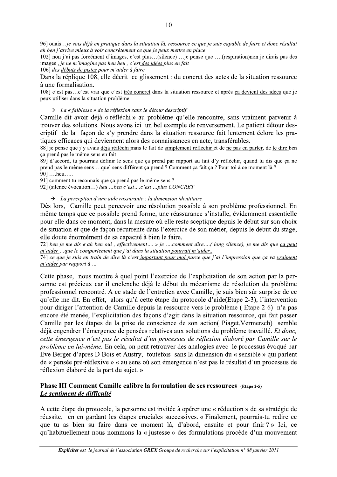96] ouais...je vois déjà en pratique dans la situation là, ressource ce que je suis capable de faire et donc résultat eh ben j'arrive mieux à voir concrètement ce que je peux mettre en place

102] non j'ai pas forcément d'images, c'est plus...(silence) ...je pense que ....(respiration) non je dirais pas des images, je ne m'imagine pas heu heu, c'est des idées plus en fait

106] des débuts de pistes pour m'aider à faire

Dans la réplique 108, elle décrit ce glissement : du concret des actes de la situation ressource à une formalisation.

108] c'est pas...c'est vrai que c'est très concret dans la situation ressource et après ça devient des idées que je peux utiliser dans la situation problème

 $\rightarrow$  La « faiblesse » de la réflexion sans le détour descriptif

Camille dit avoir déjà « réfléchi » au problème qu'elle rencontre, sans vraiment parvenir à trouver des solutions. Nous avons ici un bel exemple de renversement. Le patient détour descriptif de la façon de s'y prendre dans la situation ressource fait lentement éclore les pratiques efficaces qui deviennent alors des connaissances en acte, transférables.

88] je pense que j'y avais déjà réfléchi mais le fait de simplement réfléchir et de ne pas en parler, de le dire ben ca prend pas le même sens en fait

89] d'accord, tu pourrais définir le sens que ca prend par rapport au fait d'y réfléchir, quand tu dis que ca ne prend pas le même sens ...quel sens différent ça prend ? Comment ça fait ça ? Pour toi à ce moment là ? 901 ... heu.....

91] comment tu reconnais que ça prend pas le même sens ?

92] (silence évocation...) heu ...ben c'est....c'est ...plus CONCRET

 $\rightarrow$  La perception d'une aide rassurante : la dimension identitaire

Dès lors, Camille peut percevoir une résolution possible à son problème professionnel. En même temps que ce possible prend forme, une réassurance s'installe, évidemment essentielle pour elle dans ce moment, dans la mesure où elle reste sceptique depuis le début sur son choix de situation et que de façon récurrente dans l'exercice de son métier, depuis le début du stage, elle doute énormément de sa capacité à bien le faire.

72] ben je me dis « ah ben oui, effectivement.... » je ....comment dire....(long silence), je me dis que ça peut m'aider...que le comportement que j'ai dans la situation pourrait m'aider.. 74] ce que je suis en train de dire là c'est important pour moi parce que j'ai l'impression que ça va vraiment

m'aider par rapport à ...

Cette phase, nous montre à quel point l'exercice de l'explicitation de son action par la personne est précieux car il enclenche déjà le début du mécanisme de résolution du problème professionnel rencontré. A ce stade de l'entretien avec Camille, je suis bien sûr surprise de ce qu'elle me dit. En effet, alors qu'à cette étape du protocole d'aide (Etape 2-3), l'intervention pour diriger l'attention de Camille depuis la ressource vers le problème (Etape 2-6) n'a pas encore été menée, l'explicitation des facons d'agir dans la situation ressource, qui fait passer Camille par les étapes de la prise de conscience de son action (Piaget, Vermersch) semble déjà engendrer l'émergence de pensées relatives aux solutions du problème travaillé. Et donc, cette émergence n'est pas le résultat d'un processus de réflexion élaboré par Camille sur le problème en lui-même. En cela, on peut retrouver des analogies avec le processus évoqué par Eve Berger d'après D Bois et Austry, toutefois sans la dimension du « sensible » qui parlent de « pensée pré-réflexive » « au sens où son émergence n'est pas le résultat d'un processus de réflexion élaboré de la part du sujet. »

#### Phase III Comment Camille calibre la formulation de ses ressources (Etape 2-5) Le sentiment de difficulté

A cette étape du protocole, la personne est invitée à opérer une « réduction » de sa stratégie de réussite, en en gardant les étapes cruciales successives. « Finalement, pourrais-tu redire ce que tu as bien su faire dans ce moment là, d'abord, ensuite et pour finir?» Ici, ce qu'habituellement nous nommons la « justesse » des formulations procède d'un mouvement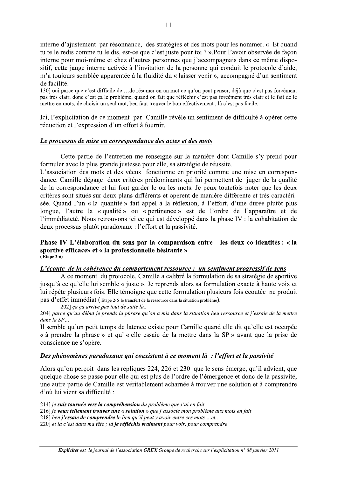interne d'ajustement par résonnance, des stratégies et des mots pour les nommer. « Et quand tu te le redis comme tu le dis, est-ce que c'est juste pour toi ? ». Pour l'avoir observée de façon interne pour moi-même et chez d'autres personnes que j'accompagnais dans ce même dispositif, cette jauge interne activée à l'invitation de la personne qui conduit le protocole d'aide, m'a toujours semblée apparentée à la fluidité du « laisser venir », accompagné d'un sentiment de facilité.

130] oui parce que c'est difficile de ...de résumer en un mot ce qu'on peut penser, déjà que c'est pas forcément pas très clair, donc c'est ca le problème, quand on fait que réfléchir c'est pas forcément très clair et le fait de le mettre en mots, de choisir un seul mot, ben faut trouver le bon effectivement, là c'est pas facile..

Ici, l'explicitation de ce moment par Camille révèle un sentiment de difficulté à opérer cette réduction et l'expression d'un effort à fournir.

#### Le processus de mise en correspondance des actes et des mots

Cette partie de l'entretien me renseigne sur la manière dont Camille s'y prend pour formuler avec la plus grande justesse pour elle, sa stratégie de réussite.

L'association des mots et des vécus fonctionne en priorité comme une mise en correspondance. Camille dégage deux critères prédominants qui lui permettent de juger de la qualité de la correspondance et lui font garder le ou les mots. Je peux toutefois noter que les deux critères sont situés sur deux plans différents et opèrent de manière différente et très caractérisée. Quand l'un « la quantité » fait appel à la réflexion, à l'effort, d'une durée plutôt plus longue, l'autre la « qualité » ou « pertinence » est de l'ordre de l'apparaître et de l'immédiateté. Nous retrouvons ici ce qui est développé dans la phase IV : la cohabitation de deux processus plutôt paradoxaux : l'effort et la passivité.

#### Phase IV L'élaboration du sens par la comparaison entre les deux co-identités : « la sportive efficace» et « la professionnelle hésitante »  $( E \text{tape } 2-6)$

#### L'écoute de la cohérence du comportement ressource : un sentiment progressif de sens

A ce moment du protocole, Camille a calibré la formulation de sa stratégie de sportive jusqu'à ce qu'elle lui semble « juste ». Je reprends alors sa formulation exacte à haute voix et lui répète plusieurs fois. Elle témoigne que cette formulation plusieurs fois écoutée ne produit pas d'effet immédiat (Etape 2-6 le transfert de la ressource dans la situation problème).

202] ça ça arrive pas tout de suite là..

204] parce qu'au début je prends la phrase qu'on a mis dans la situation heu ressource et j'essaie de la mettre dans la SP...

Il semble qu'un petit temps de latence existe pour Camille quand elle dit qu'elle est occupée « à prendre la phrase » et qu' « elle essaie de la mettre dans la SP » avant que la prise de conscience ne s'opère.

#### Des phénomènes paradoxaux qui coexistent à ce moment là : l'effort et la passivité

Alors qu'on perçoit dans les répliques 224, 226 et 230 que le sens émerge, qu'il advient, que quelque chose se passe pour elle qui est plus de l'ordre de l'émergence et donc de la passivité. une autre partie de Camille est véritablement acharnée à trouver une solution et à comprendre d'où lui vient sa difficulté :

214] je suis tournée vers la compréhension du problème que j'ai en fait

216] je veux tellement trouver une « solution » que j'associe mon problème aux mots en fait

218] ben j'essaie de comprendre le lien qu'il peut y avoir entre ces mots ...et..

220] et là c'est dans ma tête ; là je réfléchis vraiment pour voir, pour comprendre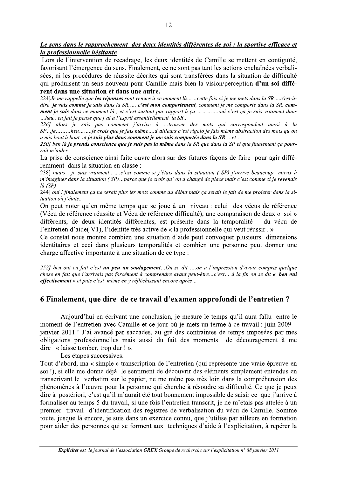#### Le sens dans le rapprochement des deux identités différentes de soi : la sportive efficace et la professionnelle hésitante

Lors de l'intervention de recadrage, les deux identités de Camille se mettent en contiguïté, favorisant l'émergence du sens. Finalement, ce ne sont pas tant les actions enchaînées verbalisées, ni les procédures de réussite décrites qui sont transférées dans la situation de difficulté qui produisent un sens nouveau pour Camille mais bien la vision/perception d'un soi différent dans une situation et dans une autre.

224] Je me rappelle que les réponses sont venues à ce moment là ... ..cette fois ci je me mets dans la SR ...c'est-àdire je vois comme je suis dans la SR,.... c'est mon comportement, comment je me comporte dans la SR, comment je suis dans ce moment là, et c'est surtout par rapport à ça ..............oui c'est ça je suis vraiment dans ...heu... en fait je pense que j'ai à l'esprit essentiellement la SR...

226] alors je sais pas comment j'arrive à ...trouver des mots qui correspondent aussi à la SP...je.........heu.......je crois que je fais même....d'ailleurs c'est rigolo je fais même abstraction des mots qu'on a mis bout à bout et je suis plus dans comment je me suis comportée dans la SR ...et....

230] ben là je prends conscience que je suis pas la même dans la SR que dans la SP et que finalement ça pourrait m'aider

La prise de conscience ainsi faite ouvre alors sur des futures façons de faire pour agir différemment dans la situation en classe :

238] ouais, je suis vraiment.......c'est comme si j'étais dans la situation (SP) j'arrive beaucoup mieux à m'imaginer dans la situation (SP)...parce que je crois qu'on a changé de place mais c'est comme si je revenais  $l\hat{a}$  (SP)

244] oui ! finalement ça ne serait plus les mots comme au début mais ça serait le fait de me projeter dans la situation où j'étais...

On peut noter qu'en même temps que se joue à un niveau : celui des vécus de référence (Vécu de référence réussite et Vécu de référence difficulté), une comparaison de deux « soi » différents, de deux identités différentes, est présente dans la temporalité du vécu de l'entretien d'aide(V1), l'identité très active de « la professionnelle qui veut réussir . »

Ce constat nous montre combien une situation d'aide peut convoquer plusieurs dimensions identitaires et ceci dans plusieurs temporalités et combien une personne peut donner une charge affective importante à une situation de ce type :

252] ben oui en fait c'est un peu un soulagement...On se dit ....on a l'impression d'avoir compris quelque chose en fait que j'arrivais pas forcément à comprendre avant peut-être...c'est... à la fin on se dit « ben oui effectivement » et puis c'est même en y réfléchissant encore après...

#### 6 Finalement, que dire de ce travail d'examen approfondi de l'entretien?

Aujourd'hui en écrivant une conclusion, je mesure le temps qu'il aura fallu entre le moment de l'entretien avec Camille et ce jour où je mets un terme à ce travail : juin 2009 – janvier 2011! J'ai avancé par saccades, au gré des contraintes de temps imposées par mes obligations professionnelles mais aussi du fait des moments de découragement à me dire « laisse tomber, trop dur ! ».

Les étapes successives.

Tout d'abord, ma « simple » transcription de l'entretien (qui représente une vraie épreuve en soi !), si elle me donne déjà le sentiment de découvrir des éléments simplement entendus en transcrivant le verbatim sur le papier, ne me mène pas très loin dans la compréhension des phénomènes à l'œuvre pour la personne qui cherche à résoudre sa difficulté. Ce que je peux dire à postériori, c'est qu'il m'aurait été tout bonnement impossible de saisir ce que j'arrive à formaliser au temps 5 du travail, si une fois l'entretien transcrit, je ne m'étais pas attelée à un premier travail d'identification des registres de verbalisation du vécu de Camille. Somme toute, jusque là encore, je suis dans un exercice connu, que j'utilise par ailleurs en formation pour aider des personnes qui se forment aux techniques d'aide à l'explicitation, à repérer la